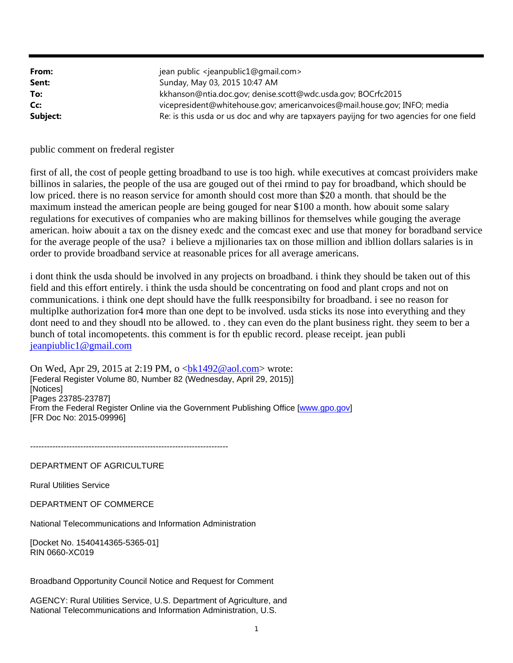| From:    | jean public <jeanpublic1@gmail.com></jeanpublic1@gmail.com>                             |
|----------|-----------------------------------------------------------------------------------------|
| Sent:    | Sunday, May 03, 2015 10:47 AM                                                           |
| To:      | kkhanson@ntia.doc.gov; denise.scott@wdc.usda.gov; BOCrfc2015                            |
| Cc:      | vicepresident@whitehouse.gov; americanvoices@mail.house.gov; INFO; media                |
| Subject: | Re: is this usda or us doc and why are tapxayers payijng for two agencies for one field |

public comment on frederal register

first of all, the cost of people getting broadband to use is too high. while executives at comcast proividers make billinos in salaries, the people of the usa are gouged out of thei rmind to pay for broadband, which should be low priced. there is no reason service for amonth should cost more than \$20 a month. that should be the maximum instead the american people are being gouged for near \$100 a month. how abouit some salary regulations for executives of companies who are making billinos for themselves while gouging the average american. hoiw abouit a tax on the disney exedc and the comcast exec and use that money for boradband service for the average people of the usa? i believe a mjilionaries tax on those million and ibllion dollars salaries is in order to provide broadband service at reasonable prices for all average americans.

i dont think the usda should be involved in any projects on broadband. i think they should be taken out of this field and this effort entirely. i think the usda should be concentrating on food and plant crops and not on communications. i think one dept should have the fullk reesponsibilty for broadband. i see no reason for multiplke authorization for4 more than one dept to be involved. usda sticks its nose into everything and they dont need to and they shoudl nto be allowed. to . they can even do the plant business right. they seem to ber a bunch of total incomopetents. this comment is for th epublic record. please receipt. jean publi jeanpiublic1@gmail.com

On Wed, Apr 29, 2015 at 2:19 PM, o  **wrote:** [Federal Register Volume 80, Number 82 (Wednesday, April 29, 2015)] [Notices] [Pages 23785-23787] From the Federal Register Online via the Government Publishing Office [www.gpo.gov] [FR Doc No: 2015-09996]

-----------------------------------------------------------------------

# DEPARTMENT OF AGRICULTURE

Rural Utilities Service

DEPARTMENT OF COMMERCE

National Telecommunications and Information Administration

[Docket No. 1540414365-5365-01] RIN 0660-XC019

Broadband Opportunity Council Notice and Request for Comment

AGENCY: Rural Utilities Service, U.S. Department of Agriculture, and National Telecommunications and Information Administration, U.S.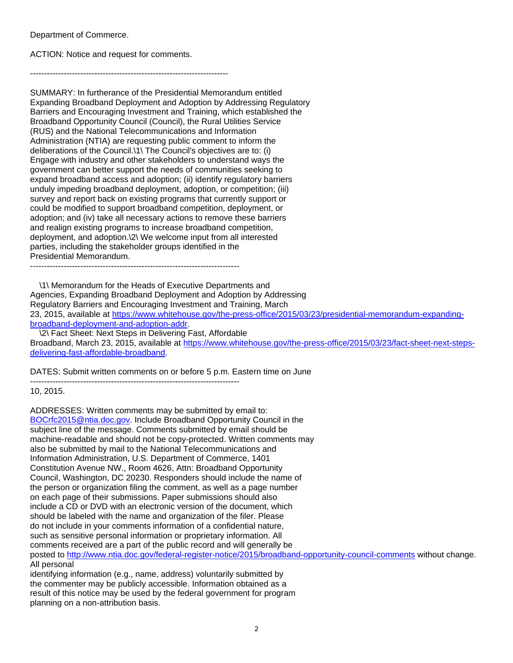Department of Commerce.

ACTION: Notice and request for comments.

-----------------------------------------------------------------------

SUMMARY: In furtherance of the Presidential Memorandum entitled Expanding Broadband Deployment and Adoption by Addressing Regulatory Barriers and Encouraging Investment and Training, which established the Broadband Opportunity Council (Council), the Rural Utilities Service (RUS) and the National Telecommunications and Information Administration (NTIA) are requesting public comment to inform the deliberations of the Council.\1\ The Council's objectives are to: (i) Engage with industry and other stakeholders to understand ways the government can better support the needs of communities seeking to expand broadband access and adoption; (ii) identify regulatory barriers unduly impeding broadband deployment, adoption, or competition; (iii) survey and report back on existing programs that currently support or could be modified to support broadband competition, deployment, or adoption; and (iv) take all necessary actions to remove these barriers and realign existing programs to increase broadband competition, deployment, and adoption.\2\ We welcome input from all interested parties, including the stakeholder groups identified in the Presidential Memorandum.

---------------------------------------------------------------------------

 \1\ Memorandum for the Heads of Executive Departments and Agencies, Expanding Broadband Deployment and Adoption by Addressing Regulatory Barriers and Encouraging Investment and Training, March 23, 2015, available at https://www.whitehouse.gov/the-press-office/2015/03/23/presidential-memorandum-expandingbroadband-deployment-and-adoption-addr.

 \2\ Fact Sheet: Next Steps in Delivering Fast, Affordable Broadband, March 23, 2015, available at https://www.whitehouse.gov/the-press-office/2015/03/23/fact-sheet-next-stepsdelivering-fast-affordable-broadband.

DATES: Submit written comments on or before 5 p.m. Eastern time on June ---------------------------------------------------------------------------

10, 2015.

ADDRESSES: Written comments may be submitted by email to: BOCrfc2015@ntia.doc.gov. Include Broadband Opportunity Council in the subject line of the message. Comments submitted by email should be machine-readable and should not be copy-protected. Written comments may also be submitted by mail to the National Telecommunications and Information Administration, U.S. Department of Commerce, 1401 Constitution Avenue NW., Room 4626, Attn: Broadband Opportunity Council, Washington, DC 20230. Responders should include the name of the person or organization filing the comment, as well as a page number on each page of their submissions. Paper submissions should also include a CD or DVD with an electronic version of the document, which should be labeled with the name and organization of the filer. Please do not include in your comments information of a confidential nature, such as sensitive personal information or proprietary information. All comments received are a part of the public record and will generally be posted to http://www.ntia.doc.gov/federal-register-notice/2015/broadband-opportunity-council-comments without change. All personal identifying information (e.g., name, address) voluntarily submitted by

the commenter may be publicly accessible. Information obtained as a result of this notice may be used by the federal government for program planning on a non-attribution basis.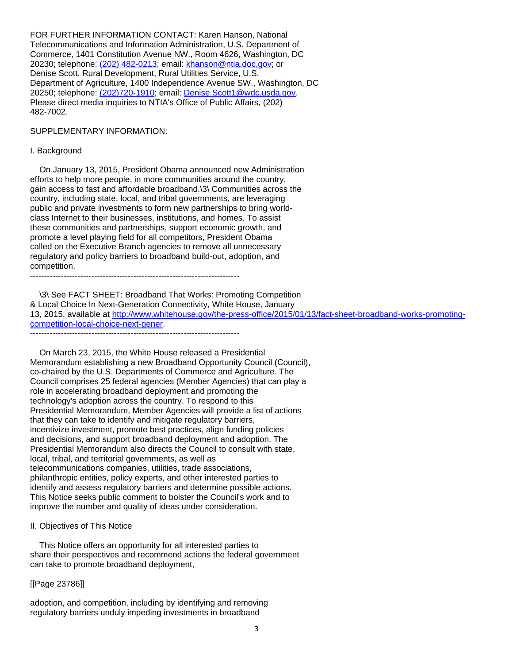FOR FURTHER INFORMATION CONTACT: Karen Hanson, National Telecommunications and Information Administration, U.S. Department of Commerce, 1401 Constitution Avenue NW., Room 4626, Washington, DC 20230; telephone: (202) 482-0213; email: khanson@ntia.doc.gov; or Denise Scott, Rural Development, Rural Utilities Service, U.S. Department of Agriculture, 1400 Independence Avenue SW., Washington, DC 20250; telephone: (202)720-1910; email: Denise.Scott1@wdc.usda.gov. Please direct media inquiries to NTIA's Office of Public Affairs, (202) 482-7002.

#### SUPPLEMENTARY INFORMATION:

#### I. Background

 On January 13, 2015, President Obama announced new Administration efforts to help more people, in more communities around the country, gain access to fast and affordable broadband.\3\ Communities across the country, including state, local, and tribal governments, are leveraging public and private investments to form new partnerships to bring worldclass Internet to their businesses, institutions, and homes. To assist these communities and partnerships, support economic growth, and promote a level playing field for all competitors, President Obama called on the Executive Branch agencies to remove all unnecessary regulatory and policy barriers to broadband build-out, adoption, and competition. ---------------------------------------------------------------------------

 \3\ See FACT SHEET: Broadband That Works: Promoting Competition & Local Choice In Next-Generation Connectivity, White House, January 13, 2015, available at http://www.whitehouse.gov/the-press-office/2015/01/13/fact-sheet-broadband-works-promotingcompetition-local-choice-next-gener. ---------------------------------------------------------------------------

 On March 23, 2015, the White House released a Presidential Memorandum establishing a new Broadband Opportunity Council (Council), co-chaired by the U.S. Departments of Commerce and Agriculture. The Council comprises 25 federal agencies (Member Agencies) that can play a role in accelerating broadband deployment and promoting the technology's adoption across the country. To respond to this Presidential Memorandum, Member Agencies will provide a list of actions that they can take to identify and mitigate regulatory barriers, incentivize investment, promote best practices, align funding policies and decisions, and support broadband deployment and adoption. The Presidential Memorandum also directs the Council to consult with state, local, tribal, and territorial governments, as well as telecommunications companies, utilities, trade associations, philanthropic entities, policy experts, and other interested parties to identify and assess regulatory barriers and determine possible actions. This Notice seeks public comment to bolster the Council's work and to improve the number and quality of ideas under consideration.

## II. Objectives of This Notice

 This Notice offers an opportunity for all interested parties to share their perspectives and recommend actions the federal government can take to promote broadband deployment,

## [[Page 23786]]

adoption, and competition, including by identifying and removing regulatory barriers unduly impeding investments in broadband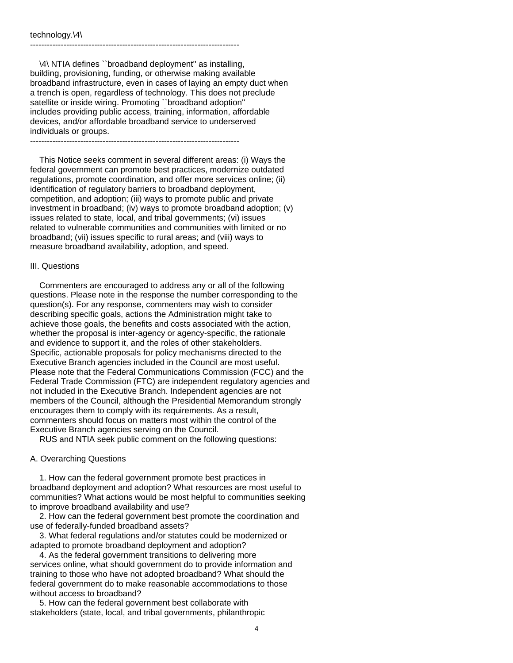\4\ NTIA defines ``broadband deployment'' as installing, building, provisioning, funding, or otherwise making available broadband infrastructure, even in cases of laying an empty duct when a trench is open, regardless of technology. This does not preclude satellite or inside wiring. Promoting ``broadband adoption'' includes providing public access, training, information, affordable devices, and/or affordable broadband service to underserved individuals or groups. ---------------------------------------------------------------------------

---------------------------------------------------------------------------

 This Notice seeks comment in several different areas: (i) Ways the federal government can promote best practices, modernize outdated regulations, promote coordination, and offer more services online; (ii) identification of regulatory barriers to broadband deployment, competition, and adoption; (iii) ways to promote public and private investment in broadband; (iv) ways to promote broadband adoption; (v) issues related to state, local, and tribal governments; (vi) issues related to vulnerable communities and communities with limited or no broadband; (vii) issues specific to rural areas; and (viii) ways to measure broadband availability, adoption, and speed.

#### III. Questions

 Commenters are encouraged to address any or all of the following questions. Please note in the response the number corresponding to the question(s). For any response, commenters may wish to consider describing specific goals, actions the Administration might take to achieve those goals, the benefits and costs associated with the action, whether the proposal is inter-agency or agency-specific, the rationale and evidence to support it, and the roles of other stakeholders. Specific, actionable proposals for policy mechanisms directed to the Executive Branch agencies included in the Council are most useful. Please note that the Federal Communications Commission (FCC) and the Federal Trade Commission (FTC) are independent regulatory agencies and not included in the Executive Branch. Independent agencies are not members of the Council, although the Presidential Memorandum strongly encourages them to comply with its requirements. As a result, commenters should focus on matters most within the control of the Executive Branch agencies serving on the Council.

RUS and NTIA seek public comment on the following questions:

#### A. Overarching Questions

 1. How can the federal government promote best practices in broadband deployment and adoption? What resources are most useful to communities? What actions would be most helpful to communities seeking to improve broadband availability and use?

 2. How can the federal government best promote the coordination and use of federally-funded broadband assets?

 3. What federal regulations and/or statutes could be modernized or adapted to promote broadband deployment and adoption?

 4. As the federal government transitions to delivering more services online, what should government do to provide information and training to those who have not adopted broadband? What should the federal government do to make reasonable accommodations to those without access to broadband?

 5. How can the federal government best collaborate with stakeholders (state, local, and tribal governments, philanthropic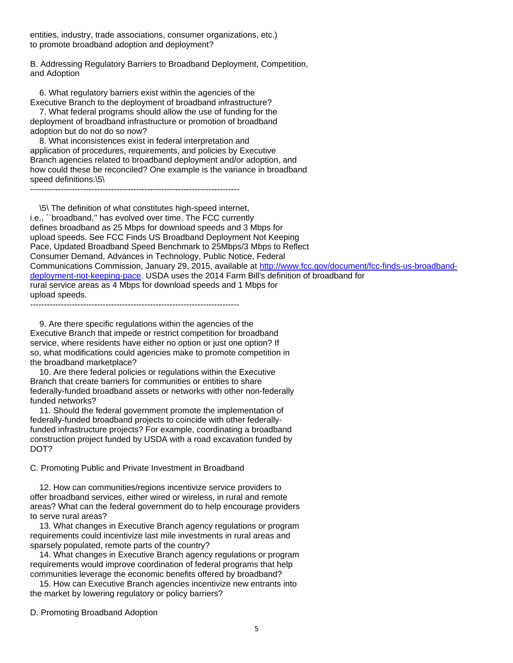entities, industry, trade associations, consumer organizations, etc.) to promote broadband adoption and deployment?

B. Addressing Regulatory Barriers to Broadband Deployment, Competition, and Adoption

 6. What regulatory barriers exist within the agencies of the Executive Branch to the deployment of broadband infrastructure?

 7. What federal programs should allow the use of funding for the deployment of broadband infrastructure or promotion of broadband adoption but do not do so now?

 8. What inconsistences exist in federal interpretation and application of procedures, requirements, and policies by Executive Branch agencies related to broadband deployment and/or adoption, and how could these be reconciled? One example is the variance in broadband speed definitions.\5\

---------------------------------------------------------------------------

 \5\ The definition of what constitutes high-speed internet, i.e., ``broadband,'' has evolved over time. The FCC currently defines broadband as 25 Mbps for download speeds and 3 Mbps for upload speeds. See FCC Finds US Broadband Deployment Not Keeping Pace, Updated Broadband Speed Benchmark to 25Mbps/3 Mbps to Reflect Consumer Demand, Advances in Technology, Public Notice, Federal Communications Commission, January 29, 2015, available at http://www.fcc.gov/document/fcc-finds-us-broadbanddeployment-not-keeping-pace. USDA uses the 2014 Farm Bill's definition of broadband for rural service areas as 4 Mbps for download speeds and 1 Mbps for upload speeds.

---------------------------------------------------------------------------

 9. Are there specific regulations within the agencies of the Executive Branch that impede or restrict competition for broadband service, where residents have either no option or just one option? If so, what modifications could agencies make to promote competition in the broadband marketplace?

 10. Are there federal policies or regulations within the Executive Branch that create barriers for communities or entities to share federally-funded broadband assets or networks with other non-federally funded networks?

 11. Should the federal government promote the implementation of federally-funded broadband projects to coincide with other federallyfunded infrastructure projects? For example, coordinating a broadband construction project funded by USDA with a road excavation funded by DOT?

C. Promoting Public and Private Investment in Broadband

 12. How can communities/regions incentivize service providers to offer broadband services, either wired or wireless, in rural and remote areas? What can the federal government do to help encourage providers to serve rural areas?

 13. What changes in Executive Branch agency regulations or program requirements could incentivize last mile investments in rural areas and sparsely populated, remote parts of the country?

 14. What changes in Executive Branch agency regulations or program requirements would improve coordination of federal programs that help communities leverage the economic benefits offered by broadband?

 15. How can Executive Branch agencies incentivize new entrants into the market by lowering regulatory or policy barriers?

D. Promoting Broadband Adoption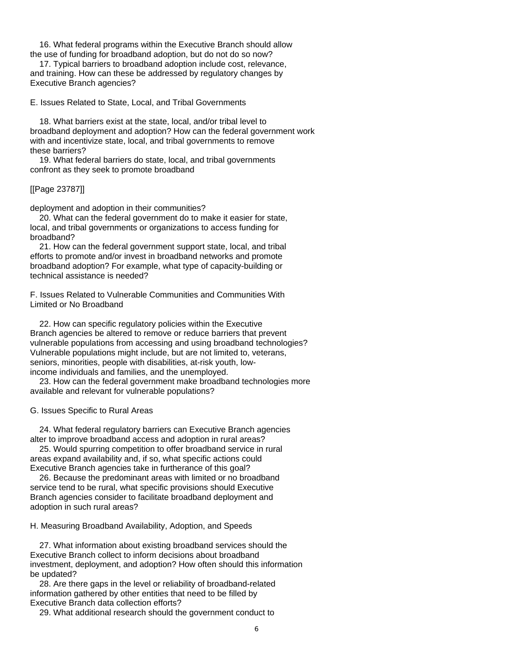16. What federal programs within the Executive Branch should allow the use of funding for broadband adoption, but do not do so now?

 17. Typical barriers to broadband adoption include cost, relevance, and training. How can these be addressed by regulatory changes by Executive Branch agencies?

E. Issues Related to State, Local, and Tribal Governments

 18. What barriers exist at the state, local, and/or tribal level to broadband deployment and adoption? How can the federal government work with and incentivize state, local, and tribal governments to remove these barriers?

 19. What federal barriers do state, local, and tribal governments confront as they seek to promote broadband

## [[Page 23787]]

deployment and adoption in their communities?

 20. What can the federal government do to make it easier for state, local, and tribal governments or organizations to access funding for broadband?

 21. How can the federal government support state, local, and tribal efforts to promote and/or invest in broadband networks and promote broadband adoption? For example, what type of capacity-building or technical assistance is needed?

F. Issues Related to Vulnerable Communities and Communities With Limited or No Broadband

 22. How can specific regulatory policies within the Executive Branch agencies be altered to remove or reduce barriers that prevent vulnerable populations from accessing and using broadband technologies? Vulnerable populations might include, but are not limited to, veterans, seniors, minorities, people with disabilities, at-risk youth, lowincome individuals and families, and the unemployed.

 23. How can the federal government make broadband technologies more available and relevant for vulnerable populations?

## G. Issues Specific to Rural Areas

 24. What federal regulatory barriers can Executive Branch agencies alter to improve broadband access and adoption in rural areas?

 25. Would spurring competition to offer broadband service in rural areas expand availability and, if so, what specific actions could Executive Branch agencies take in furtherance of this goal?

 26. Because the predominant areas with limited or no broadband service tend to be rural, what specific provisions should Executive Branch agencies consider to facilitate broadband deployment and adoption in such rural areas?

H. Measuring Broadband Availability, Adoption, and Speeds

 27. What information about existing broadband services should the Executive Branch collect to inform decisions about broadband investment, deployment, and adoption? How often should this information be updated?

 28. Are there gaps in the level or reliability of broadband-related information gathered by other entities that need to be filled by Executive Branch data collection efforts?

29. What additional research should the government conduct to